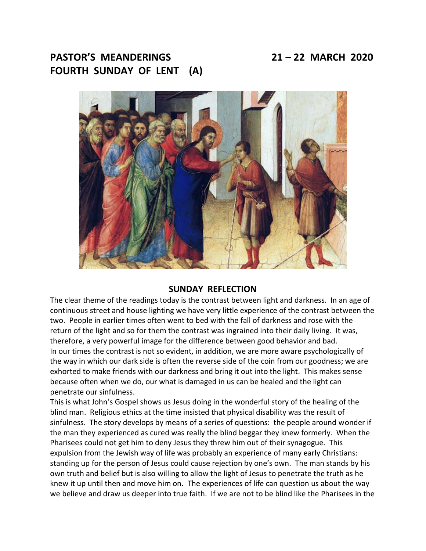# **PASTOR'S MEANDERINGS 21 – 22 MARCH 2020 FOURTH SUNDAY OF LENT (A)**



#### **SUNDAY REFLECTION**

The clear theme of the readings today is the contrast between light and darkness. In an age of continuous street and house lighting we have very little experience of the contrast between the two. People in earlier times often went to bed with the fall of darkness and rose with the return of the light and so for them the contrast was ingrained into their daily living. It was, therefore, a very powerful image for the difference between good behavior and bad. In our times the contrast is not so evident, in addition, we are more aware psychologically of the way in which our dark side is often the reverse side of the coin from our goodness; we are exhorted to make friends with our darkness and bring it out into the light. This makes sense because often when we do, our what is damaged in us can be healed and the light can penetrate our sinfulness.

This is what John's Gospel shows us Jesus doing in the wonderful story of the healing of the blind man. Religious ethics at the time insisted that physical disability was the result of sinfulness. The story develops by means of a series of questions: the people around wonder if the man they experienced as cured was really the blind beggar they knew formerly. When the Pharisees could not get him to deny Jesus they threw him out of their synagogue. This expulsion from the Jewish way of life was probably an experience of many early Christians: standing up for the person of Jesus could cause rejection by one's own. The man stands by his own truth and belief but is also willing to allow the light of Jesus to penetrate the truth as he knew it up until then and move him on. The experiences of life can question us about the way we believe and draw us deeper into true faith. If we are not to be blind like the Pharisees in the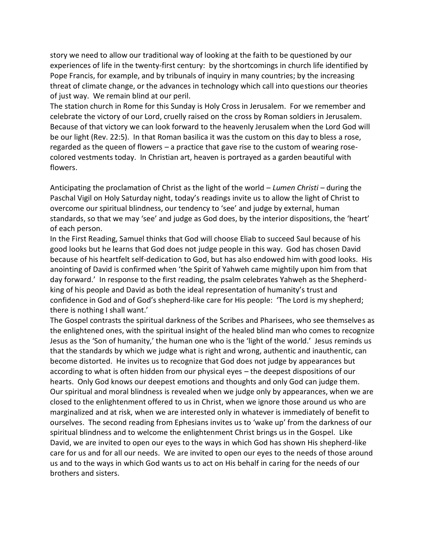story we need to allow our traditional way of looking at the faith to be questioned by our experiences of life in the twenty-first century: by the shortcomings in church life identified by Pope Francis, for example, and by tribunals of inquiry in many countries; by the increasing threat of climate change, or the advances in technology which call into questions our theories of just way. We remain blind at our peril.

The station church in Rome for this Sunday is Holy Cross in Jerusalem. For we remember and celebrate the victory of our Lord, cruelly raised on the cross by Roman soldiers in Jerusalem. Because of that victory we can look forward to the heavenly Jerusalem when the Lord God will be our light (Rev. 22:5). In that Roman basilica it was the custom on this day to bless a rose, regarded as the queen of flowers – a practice that gave rise to the custom of wearing rosecolored vestments today. In Christian art, heaven is portrayed as a garden beautiful with flowers.

Anticipating the proclamation of Christ as the light of the world – *Lumen Christi* – during the Paschal Vigil on Holy Saturday night, today's readings invite us to allow the light of Christ to overcome our spiritual blindness, our tendency to 'see' and judge by external, human standards, so that we may 'see' and judge as God does, by the interior dispositions, the 'heart' of each person.

In the First Reading, Samuel thinks that God will choose Eliab to succeed Saul because of his good looks but he learns that God does not judge people in this way. God has chosen David because of his heartfelt self-dedication to God, but has also endowed him with good looks. His anointing of David is confirmed when 'the Spirit of Yahweh came mightily upon him from that day forward.' In response to the first reading, the psalm celebrates Yahweh as the Shepherdking of his people and David as both the ideal representation of humanity's trust and confidence in God and of God's shepherd-like care for His people: 'The Lord is my shepherd; there is nothing I shall want.'

The Gospel contrasts the spiritual darkness of the Scribes and Pharisees, who see themselves as the enlightened ones, with the spiritual insight of the healed blind man who comes to recognize Jesus as the 'Son of humanity,' the human one who is the 'light of the world.' Jesus reminds us that the standards by which we judge what is right and wrong, authentic and inauthentic, can become distorted. He invites us to recognize that God does not judge by appearances but according to what is often hidden from our physical eyes – the deepest dispositions of our hearts. Only God knows our deepest emotions and thoughts and only God can judge them. Our spiritual and moral blindness is revealed when we judge only by appearances, when we are closed to the enlightenment offered to us in Christ, when we ignore those around us who are marginalized and at risk, when we are interested only in whatever is immediately of benefit to ourselves. The second reading from Ephesians invites us to 'wake up' from the darkness of our spiritual blindness and to welcome the enlightenment Christ brings us in the Gospel. Like David, we are invited to open our eyes to the ways in which God has shown His shepherd-like care for us and for all our needs. We are invited to open our eyes to the needs of those around us and to the ways in which God wants us to act on His behalf in caring for the needs of our brothers and sisters.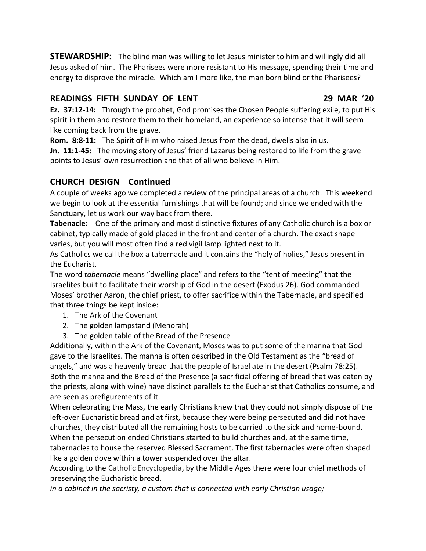**STEWARDSHIP:** The blind man was willing to let Jesus minister to him and willingly did all Jesus asked of him. The Pharisees were more resistant to His message, spending their time and energy to disprove the miracle. Which am I more like, the man born blind or the Pharisees?

### **READINGS FIFTH SUNDAY OF LENT 29 MAR '20**

**Ez. 37:12-14:** Through the prophet, God promises the Chosen People suffering exile, to put His spirit in them and restore them to their homeland, an experience so intense that it will seem like coming back from the grave.

**Rom. 8:8-11:** The Spirit of Him who raised Jesus from the dead, dwells also in us.

**Jn. 11:1-45:** The moving story of Jesus' friend Lazarus being restored to life from the grave points to Jesus' own resurrection and that of all who believe in Him.

## **CHURCH DESIGN Continued**

A couple of weeks ago we completed a review of the principal areas of a church. This weekend we begin to look at the essential furnishings that will be found; and since we ended with the Sanctuary, let us work our way back from there.

**Tabenacle:** One of the primary and most distinctive fixtures of any Catholic church is a box or cabinet, typically made of gold placed in the front and center of a church. The exact shape varies, but you will most often find a red vigil lamp lighted next to it.

As Catholics we call the box a tabernacle and it contains the "holy of holies," Jesus present in the Eucharist.

The word *tabernacle* means "dwelling place" and refers to the "tent of meeting" that the Israelites built to facilitate their worship of God in the desert (Exodus 26). God commanded Moses' brother Aaron, the chief priest, to offer sacrifice within the Tabernacle, and specified that three things be kept inside:

- 1. The Ark of the Covenant
- 2. The golden lampstand (Menorah)
- 3. The golden table of the Bread of the Presence

Additionally, within the Ark of the Covenant, Moses was to put some of the manna that God gave to the Israelites. The manna is often described in the Old Testament as the "bread of angels," and was a heavenly bread that the people of Israel ate in the desert (Psalm 78:25). Both the manna and the Bread of the Presence (a sacrificial offering of bread that was eaten by the priests, along with wine) have distinct parallels to the Eucharist that Catholics consume, and are seen as prefigurements of it.

When celebrating the Mass, the early Christians knew that they could not simply dispose of the left-over Eucharistic bread and at first, because they were being persecuted and did not have churches, they distributed all the remaining hosts to be carried to the sick and home-bound. When the persecution ended Christians started to build churches and, at the same time, tabernacles to house the reserved Blessed Sacrament. The first tabernacles were often shaped like a golden dove within a tower suspended over the altar.

According to the [Catholic Encyclopedia,](http://www.newadvent.org/cathen/14424a.htm) by the Middle Ages there were four chief methods of preserving the Eucharistic bread.

*in a cabinet in the sacristy, a custom that is connected with early Christian usage;*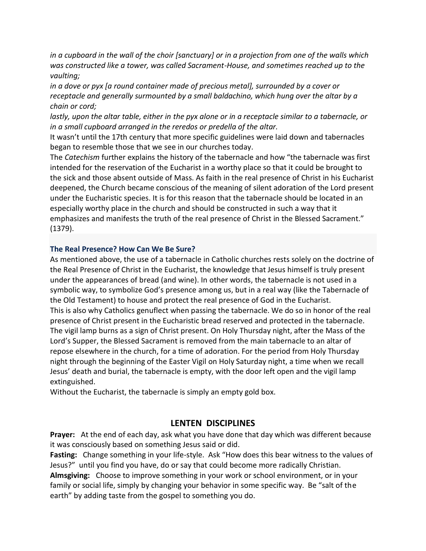*in a cupboard in the wall of the choir [sanctuary] or in a projection from one of the walls which was constructed like a tower, was called Sacrament-House, and sometimes reached up to the vaulting;*

*in a dove or pyx [a round container made of precious metal], surrounded by a cover or receptacle and generally surmounted by a small baldachino, which hung over the altar by a chain or cord;*

*lastly, upon the altar table, either in the pyx alone or in a receptacle similar to a tabernacle, or in a small cupboard arranged in the reredos or predella of the altar.*

It wasn't until the 17th century that more specific guidelines were laid down and tabernacles began to resemble those that we see in our churches today.

The *Catechism* further explains the history of the tabernacle and how "the tabernacle was first intended for the reservation of the Eucharist in a worthy place so that it could be brought to the sick and those absent outside of Mass. As faith in the real presence of Christ in his Eucharist deepened, the Church became conscious of the meaning of silent adoration of the Lord present under the Eucharistic species. It is for this reason that the tabernacle should be located in an especially worthy place in the church and should be constructed in such a way that it emphasizes and manifests the truth of the real presence of Christ in the Blessed Sacrament." (1379).

#### **[The Real Presence? How Can We Be Sure?](https://aleteia.org/2014/06/21/the-real-presence-how-can-we-be-sure/)**

As mentioned above, the use of a tabernacle in Catholic churches rests solely on the doctrine of the Real Presence of Christ in the Eucharist, the knowledge that Jesus himself is truly present under the appearances of bread (and wine). In other words, the tabernacle is not used in a symbolic way, to symbolize God's presence among us, but in a real way (like the Tabernacle of the Old Testament) to house and protect the real presence of God in the Eucharist. This is also why Catholics genuflect when passing the tabernacle. We do so in honor of the real presence of Christ present in the Eucharistic bread reserved and protected in the tabernacle. The vigil lamp burns as a sign of Christ present. On Holy Thursday night, after the Mass of the Lord's Supper, the Blessed Sacrament is removed from the main tabernacle to an altar of repose elsewhere in the church, for a time of adoration. For the period from Holy Thursday night through the beginning of the Easter Vigil on Holy Saturday night, a time when we recall Jesus' death and burial, the tabernacle is empty, with the door left open and the vigil lamp extinguished.

Without the Eucharist, the tabernacle is simply an empty gold box.

### **LENTEN DISCIPLINES**

**Prayer:** At the end of each day, ask what you have done that day which was different because it was consciously based on something Jesus said or did.

**Fasting:** Change something in your life-style. Ask "How does this bear witness to the values of Jesus?" until you find you have, do or say that could become more radically Christian. **Almsgiving:** Choose to improve something in your work or school environment, or in your family or social life, simply by changing your behavior in some specific way. Be "salt of the earth" by adding taste from the gospel to something you do.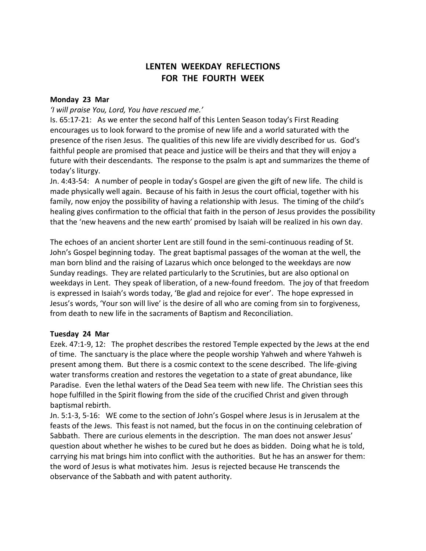# **LENTEN WEEKDAY REFLECTIONS FOR THE FOURTH WEEK**

#### **Monday 23 Mar**

#### *'I will praise You, Lord, You have rescued me.'*

Is. 65:17-21: As we enter the second half of this Lenten Season today's First Reading encourages us to look forward to the promise of new life and a world saturated with the presence of the risen Jesus. The qualities of this new life are vividly described for us. God's faithful people are promised that peace and justice will be theirs and that they will enjoy a future with their descendants. The response to the psalm is apt and summarizes the theme of today's liturgy.

Jn. 4:43-54: A number of people in today's Gospel are given the gift of new life. The child is made physically well again. Because of his faith in Jesus the court official, together with his family, now enjoy the possibility of having a relationship with Jesus. The timing of the child's healing gives confirmation to the official that faith in the person of Jesus provides the possibility that the 'new heavens and the new earth' promised by Isaiah will be realized in his own day.

The echoes of an ancient shorter Lent are still found in the semi-continuous reading of St. John's Gospel beginning today. The great baptismal passages of the woman at the well, the man born blind and the raising of Lazarus which once belonged to the weekdays are now Sunday readings. They are related particularly to the Scrutinies, but are also optional on weekdays in Lent. They speak of liberation, of a new-found freedom. The joy of that freedom is expressed in Isaiah's words today, 'Be glad and rejoice for ever'. The hope expressed in Jesus's words, 'Your son will live' is the desire of all who are coming from sin to forgiveness, from death to new life in the sacraments of Baptism and Reconciliation.

#### **Tuesday 24 Mar**

Ezek. 47:1-9, 12: The prophet describes the restored Temple expected by the Jews at the end of time. The sanctuary is the place where the people worship Yahweh and where Yahweh is present among them. But there is a cosmic context to the scene described. The life-giving water transforms creation and restores the vegetation to a state of great abundance, like Paradise. Even the lethal waters of the Dead Sea teem with new life. The Christian sees this hope fulfilled in the Spirit flowing from the side of the crucified Christ and given through baptismal rebirth.

Jn. 5:1-3, 5-16: WE come to the section of John's Gospel where Jesus is in Jerusalem at the feasts of the Jews. This feast is not named, but the focus in on the continuing celebration of Sabbath. There are curious elements in the description. The man does not answer Jesus' question about whether he wishes to be cured but he does as bidden. Doing what he is told, carrying his mat brings him into conflict with the authorities. But he has an answer for them: the word of Jesus is what motivates him. Jesus is rejected because He transcends the observance of the Sabbath and with patent authority.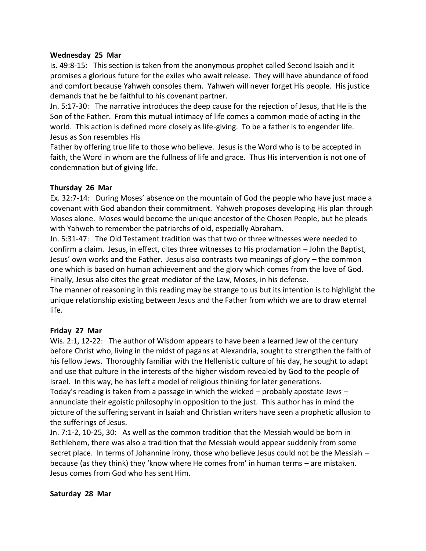#### **Wednesday 25 Mar**

Is. 49:8-15: This section is taken from the anonymous prophet called Second Isaiah and it promises a glorious future for the exiles who await release. They will have abundance of food and comfort because Yahweh consoles them. Yahweh will never forget His people. His justice demands that he be faithful to his covenant partner.

Jn. 5:17-30: The narrative introduces the deep cause for the rejection of Jesus, that He is the Son of the Father. From this mutual intimacy of life comes a common mode of acting in the world. This action is defined more closely as life-giving. To be a father is to engender life. Jesus as Son resembles His

Father by offering true life to those who believe. Jesus is the Word who is to be accepted in faith, the Word in whom are the fullness of life and grace. Thus His intervention is not one of condemnation but of giving life.

#### **Thursday 26 Mar**

Ex. 32:7-14: During Moses' absence on the mountain of God the people who have just made a covenant with God abandon their commitment. Yahweh proposes developing His plan through Moses alone. Moses would become the unique ancestor of the Chosen People, but he pleads with Yahweh to remember the patriarchs of old, especially Abraham.

Jn. 5:31-47: The Old Testament tradition was that two or three witnesses were needed to confirm a claim. Jesus, in effect, cites three witnesses to His proclamation – John the Baptist, Jesus' own works and the Father. Jesus also contrasts two meanings of glory – the common one which is based on human achievement and the glory which comes from the love of God. Finally, Jesus also cites the great mediator of the Law, Moses, in his defense.

The manner of reasoning in this reading may be strange to us but its intention is to highlight the unique relationship existing between Jesus and the Father from which we are to draw eternal life.

### **Friday 27 Mar**

Wis. 2:1, 12-22: The author of Wisdom appears to have been a learned Jew of the century before Christ who, living in the midst of pagans at Alexandria, sought to strengthen the faith of his fellow Jews. Thoroughly familiar with the Hellenistic culture of his day, he sought to adapt and use that culture in the interests of the higher wisdom revealed by God to the people of Israel. In this way, he has left a model of religious thinking for later generations. Today's reading is taken from a passage in which the wicked – probably apostate Jews – annunciate their egoistic philosophy in opposition to the just. This author has in mind the picture of the suffering servant in Isaiah and Christian writers have seen a prophetic allusion to the sufferings of Jesus.

Jn. 7:1-2, 10-25, 30: As well as the common tradition that the Messiah would be born in Bethlehem, there was also a tradition that the Messiah would appear suddenly from some secret place. In terms of Johannine irony, those who believe Jesus could not be the Messiah – because (as they think) they 'know where He comes from' in human terms – are mistaken. Jesus comes from God who has sent Him.

#### **Saturday 28 Mar**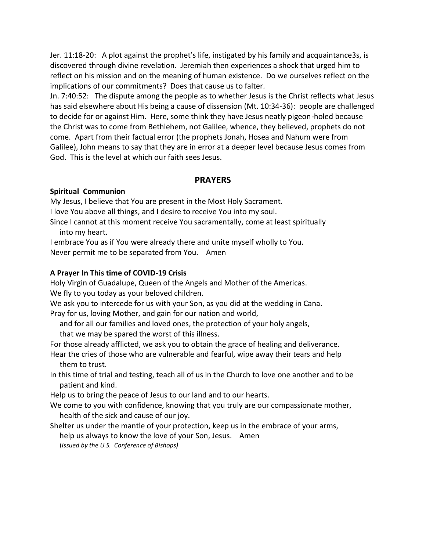Jer. 11:18-20: A plot against the prophet's life, instigated by his family and acquaintance3s, is discovered through divine revelation. Jeremiah then experiences a shock that urged him to reflect on his mission and on the meaning of human existence. Do we ourselves reflect on the implications of our commitments? Does that cause us to falter.

Jn. 7:40:52: The dispute among the people as to whether Jesus is the Christ reflects what Jesus has said elsewhere about His being a cause of dissension (Mt. 10:34-36): people are challenged to decide for or against Him. Here, some think they have Jesus neatly pigeon-holed because the Christ was to come from Bethlehem, not Galilee, whence, they believed, prophets do not come. Apart from their factual error (the prophets Jonah, Hosea and Nahum were from Galilee), John means to say that they are in error at a deeper level because Jesus comes from God. This is the level at which our faith sees Jesus.

### **PRAYERS**

#### **Spiritual Communion**

My Jesus, I believe that You are present in the Most Holy Sacrament.

I love You above all things, and I desire to receive You into my soul.

Since I cannot at this moment receive You sacramentally, come at least spiritually into my heart.

I embrace You as if You were already there and unite myself wholly to You.

Never permit me to be separated from You. Amen

#### **A Prayer In This time of COVID-19 Crisis**

Holy Virgin of Guadalupe, Queen of the Angels and Mother of the Americas. We fly to you today as your beloved children.

We ask you to intercede for us with your Son, as you did at the wedding in Cana. Pray for us, loving Mother, and gain for our nation and world,

and for all our families and loved ones, the protection of your holy angels,

that we may be spared the worst of this illness.

For those already afflicted, we ask you to obtain the grace of healing and deliverance. Hear the cries of those who are vulnerable and fearful, wipe away their tears and help

- them to trust.
- In this time of trial and testing, teach all of us in the Church to love one another and to be patient and kind.

Help us to bring the peace of Jesus to our land and to our hearts.

We come to you with confidence, knowing that you truly are our compassionate mother, health of the sick and cause of our joy.

Shelter us under the mantle of your protection, keep us in the embrace of your arms, help us always to know the love of your Son, Jesus. Amen (*Issued by the U.S. Conference of Bishops)*